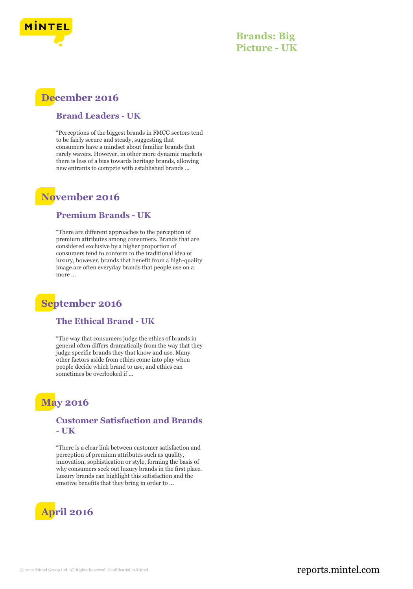

**Brands: Big Picture - UK**

# **December 2016**

#### **Brand Leaders - UK**

"Perceptions of the biggest brands in FMCG sectors tend to be fairly secure and steady, suggesting that consumers have a mindset about familiar brands that rarely wavers. However, in other more dynamic markets there is less of a bias towards heritage brands, allowing new entrants to compete with established brands ...

### **November 2016**

### **Premium Brands - UK**

"There are different approaches to the perception of premium attributes among consumers. Brands that are considered exclusive by a higher proportion of consumers tend to conform to the traditional idea of luxury, however, brands that benefit from a high-quality image are often everyday brands that people use on a more ...

## **September 2016**

### **The Ethical Brand - UK**

"The way that consumers judge the ethics of brands in general often differs dramatically from the way that they judge specific brands they that know and use. Many other factors aside from ethics come into play when people decide which brand to use, and ethics can sometimes be overlooked if ...

### **May 2016**

### **Customer Satisfaction and Brands - UK**

"There is a clear link between customer satisfaction and perception of premium attributes such as quality, innovation, sophistication or style, forming the basis of why consumers seek out luxury brands in the first place. Luxury brands can highlight this satisfaction and the emotive benefits that they bring in order to ...